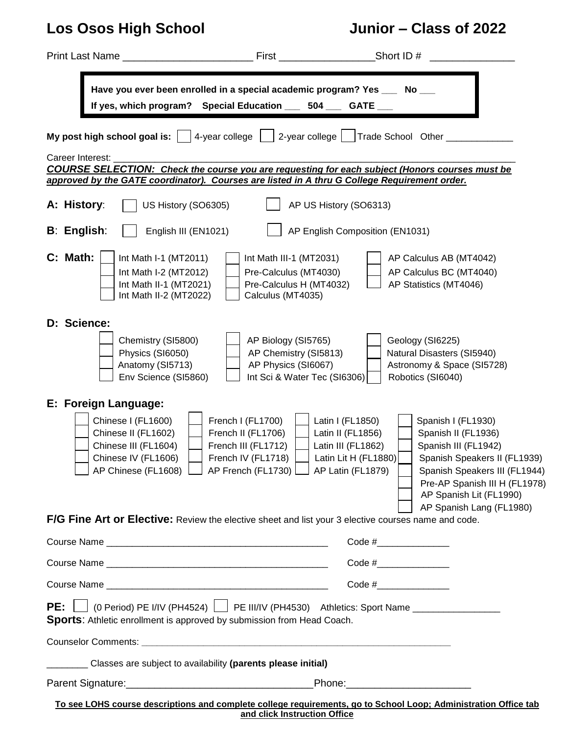# **Los Osos High School Junior – Class of 2022**

|                                                                                                                                                                                                                                                                                                                         | <b>First Executive State State State State State</b>                                                | Short ID $#$                                                                                                                                                                                                                                                                                                           |                                                                                                                                                                                           |  |
|-------------------------------------------------------------------------------------------------------------------------------------------------------------------------------------------------------------------------------------------------------------------------------------------------------------------------|-----------------------------------------------------------------------------------------------------|------------------------------------------------------------------------------------------------------------------------------------------------------------------------------------------------------------------------------------------------------------------------------------------------------------------------|-------------------------------------------------------------------------------------------------------------------------------------------------------------------------------------------|--|
| Have you ever been enrolled in a special academic program? Yes ___ No __<br>If yes, which program? Special Education ___ 504 ___ GATE __                                                                                                                                                                                |                                                                                                     |                                                                                                                                                                                                                                                                                                                        |                                                                                                                                                                                           |  |
| 4-year college<br>My post high school goal is: $\vert$                                                                                                                                                                                                                                                                  |                                                                                                     | 2-year college     Trade School Other ___                                                                                                                                                                                                                                                                              |                                                                                                                                                                                           |  |
| Career Interest:<br>COURSE SELECTION: Check the course you are requesting for each subject (Honors courses must be<br>approved by the GATE coordinator). Courses are listed in A thru G College Requirement order.                                                                                                      |                                                                                                     |                                                                                                                                                                                                                                                                                                                        |                                                                                                                                                                                           |  |
| A: History:<br>US History (SO6305)                                                                                                                                                                                                                                                                                      |                                                                                                     | AP US History (SO6313)                                                                                                                                                                                                                                                                                                 |                                                                                                                                                                                           |  |
| <b>B: English:</b><br>English III (EN1021)                                                                                                                                                                                                                                                                              |                                                                                                     | AP English Composition (EN1031)                                                                                                                                                                                                                                                                                        |                                                                                                                                                                                           |  |
| C: Math:<br>Int Math I-1 (MT2011)<br>Int Math I-2 (MT2012)<br>Int Math II-1 (MT2021)<br>Int Math II-2 (MT2022)                                                                                                                                                                                                          | Int Math III-1 (MT2031)<br>Pre-Calculus (MT4030)<br>Pre-Calculus H (MT4032)<br>Calculus (MT4035)    | AP Calculus AB (MT4042)<br>AP Calculus BC (MT4040)<br>AP Statistics (MT4046)                                                                                                                                                                                                                                           |                                                                                                                                                                                           |  |
| D: Science:<br>Chemistry (SI5800)<br>Physics (SI6050)<br>Anatomy (SI5713)<br>Env Science (SI5860)                                                                                                                                                                                                                       | AP Biology (SI5765)<br>AP Chemistry (SI5813)<br>AP Physics (SI6067)<br>Int Sci & Water Tec (SI6306) | Geology (SI6225)<br>Natural Disasters (SI5940)<br>Astronomy & Space (SI5728)<br>Robotics (SI6040)                                                                                                                                                                                                                      |                                                                                                                                                                                           |  |
| E: Foreign Language:<br>Chinese I (FL1600)<br>Chinese II (FL1602)<br>Chinese III (FL1604)<br>Chinese IV (FL1606)<br>AP Chinese (FL1608)   AP French (FL1730)   AP Latin (FL1879)   Spanish Speakers III (FL1944)<br>F/G Fine Art or Elective: Review the elective sheet and list your 3 elective courses name and code. | French I (FL1700)<br>French II (FL1706)<br>French III (FL1712)<br>French IV (FL1718)                | Latin I (FL1850)<br>Latin II (FL1856)<br>Latin III (FL1862)<br>Latin Lit H (FL1880)                                                                                                                                                                                                                                    | Spanish I (FL1930)<br>Spanish II (FL1936)<br>Spanish III (FL1942)<br>Spanish Speakers II (FL1939)<br>Pre-AP Spanish III H (FL1978)<br>AP Spanish Lit (FL1990)<br>AP Spanish Lang (FL1980) |  |
|                                                                                                                                                                                                                                                                                                                         |                                                                                                     | Code #________________                                                                                                                                                                                                                                                                                                 |                                                                                                                                                                                           |  |
|                                                                                                                                                                                                                                                                                                                         |                                                                                                     | Code # $\frac{1}{2}$                                                                                                                                                                                                                                                                                                   |                                                                                                                                                                                           |  |
|                                                                                                                                                                                                                                                                                                                         |                                                                                                     | Code # $\frac{1}{2}$ $\frac{1}{2}$ $\frac{1}{2}$ $\frac{1}{2}$ $\frac{1}{2}$ $\frac{1}{2}$ $\frac{1}{2}$ $\frac{1}{2}$ $\frac{1}{2}$ $\frac{1}{2}$ $\frac{1}{2}$ $\frac{1}{2}$ $\frac{1}{2}$ $\frac{1}{2}$ $\frac{1}{2}$ $\frac{1}{2}$ $\frac{1}{2}$ $\frac{1}{2}$ $\frac{1}{2}$ $\frac{1}{2}$ $\frac{1}{2}$ $\frac{1$ |                                                                                                                                                                                           |  |
| <b>PE:</b> $\Box$ (0 Period) PE I/IV (PH4524) $\Box$ PE III/IV (PH4530) Athletics: Sport Name $\Box$<br>Sports: Athletic enrollment is approved by submission from Head Coach.                                                                                                                                          |                                                                                                     |                                                                                                                                                                                                                                                                                                                        |                                                                                                                                                                                           |  |
|                                                                                                                                                                                                                                                                                                                         |                                                                                                     |                                                                                                                                                                                                                                                                                                                        |                                                                                                                                                                                           |  |
| Classes are subject to availability (parents please initial)                                                                                                                                                                                                                                                            |                                                                                                     |                                                                                                                                                                                                                                                                                                                        |                                                                                                                                                                                           |  |
|                                                                                                                                                                                                                                                                                                                         |                                                                                                     |                                                                                                                                                                                                                                                                                                                        |                                                                                                                                                                                           |  |
| To see LOHS course descriptions and complete college requirements, go to School Loop; Administration Office tab                                                                                                                                                                                                         |                                                                                                     |                                                                                                                                                                                                                                                                                                                        |                                                                                                                                                                                           |  |

**and click Instruction Office**